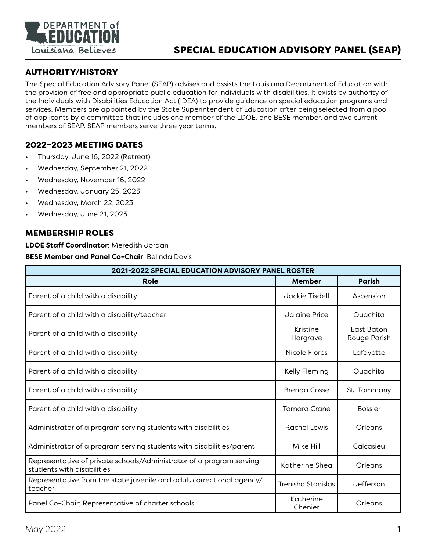

## SPECIAL EDUCATION ADVISORY PANEL (SEAP)

### AUTHORITY/HISTORY

The Special Education Advisory Panel (SEAP) advises and assists the Louisiana Department of Education with the provision of free and appropriate public education for individuals with disabilities. It exists by authority of the Individuals with Disabilities Education Act (IDEA) to provide guidance on special education programs and services. Members are appointed by the State Superintendent of Education after being selected from a pool of applicants by a committee that includes one member of the LDOE, one BESE member, and two current members of SEAP. SEAP members serve three year terms.

#### 2022–2023 MEETING DATES

- Thursday, June 16, 2022 (Retreat)
- Wednesday, September 21, 2022
- Wednesday, November 16, 2022
- Wednesday, January 25, 2023
- Wednesday, March 22, 2023
- Wednesday, June 21, 2023

#### MEMBERSHIP ROLES

**LDOE Staff Coordinator**: Meredith Jordan

**BESE Member and Panel Co-Chair**: Belinda Davis

| 2021-2022 SPECIAL EDUCATION ADVISORY PANEL ROSTER                                                  |                      |                            |  |
|----------------------------------------------------------------------------------------------------|----------------------|----------------------------|--|
| Role                                                                                               | <b>Member</b>        | <b>Parish</b>              |  |
| Parent of a child with a disability                                                                | Jackie Tisdell       | Ascension                  |  |
| Parent of a child with a disability/teacher                                                        | Jalaine Price        | Ouachita                   |  |
| Parent of a child with a disability                                                                | Kristine<br>Hargrave | East Baton<br>Rouge Parish |  |
| Parent of a child with a disability                                                                | Nicole Flores        | Lafayette                  |  |
| Parent of a child with a disability                                                                | Kelly Fleming        | Ouachita                   |  |
| Parent of a child with a disability                                                                | <b>Brenda Cosse</b>  | St. Tammany                |  |
| Parent of a child with a disability                                                                | Tamara Crane         | <b>Bossier</b>             |  |
| Administrator of a program serving students with disabilities                                      | Rachel Lewis         | Orleans                    |  |
| Administrator of a program serving students with disabilities/parent                               | Mike Hill            | Calcasieu                  |  |
| Representative of private schools/Administrator of a program serving<br>students with disabilities | Katherine Shea       | Orleans                    |  |
| Representative from the state juvenile and adult correctional agency/<br>teacher                   | Trenisha Stanislas   | Jefferson                  |  |
| Panel Co-Chair; Representative of charter schools                                                  | Katherine<br>Chenier | Orleans                    |  |